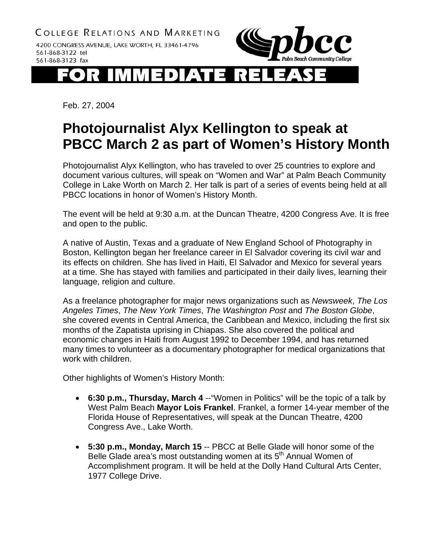

## 13D 11 i d Æ\ I

Feb. 27, 2004

## **Photojournalist Alyx Kellington to speak at PBCC March 2 as part of Women's History Month**

Photojournalist Alyx Kellington, who has traveled to over 25 countries to explore and document various cultures, will speak on "Women and War" at Palm Beach Community College in Lake Worth on March 2. Her talk is part of a series of events being held at all PBCC locations in honor of Women's History Month.

The event will be held at 9:30 a.m. at the Duncan Theatre, 4200 Congress Ave. It is free and open to the public.

A native of Austin, Texas and a graduate of New England School of Photography in Boston, Kellington began her freelance career in El Salvador covering its civil war and its effects on children. She has lived in Haiti, El Salvador and Mexico for several years at a time. She has stayed with families and participated in their daily lives, learning their language, religion and culture.

As a freelance photographer for major news organizations such as *Newsweek*, *The Los Angeles Times*, *The New York Times*, *The Washington Post* and *The Boston Globe*, she covered events in Central America, the Caribbean and Mexico, including the first six months of the Zapatista uprising in Chiapas. She also covered the political and economic changes in Haiti from August 1992 to December 1994, and has returned many times to volunteer as a documentary photographer for medical organizations that work with children.

Other highlights of Women's History Month:

- **6:30 p.m., Thursday, March 4** --"Women in Politics" will be the topic of a talk by West Palm Beach **Mayor Lois Frankel**. Frankel, a former 14-year member of the Florida House of Representatives, will speak at the Duncan Theatre, 4200 Congress Ave., Lake Worth.
- **5:30 p.m., Monday, March 15** -- PBCC at Belle Glade will honor some of the Belle Glade area's most outstanding women at its 5<sup>th</sup> Annual Women of Accomplishment program. It will be held at the Dolly Hand Cultural Arts Center, 1977 College Drive.